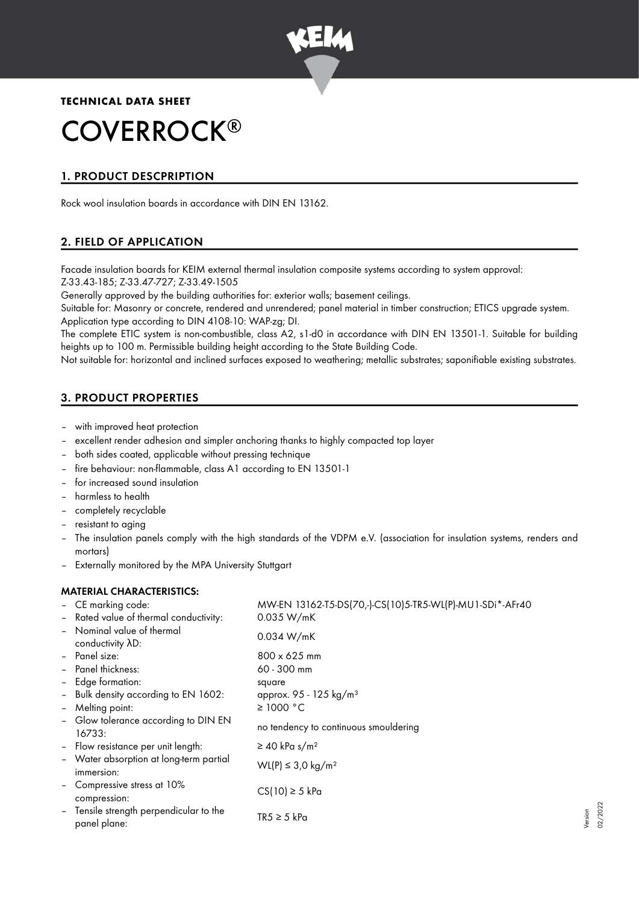

**TECHNICAL DATA SHEET**

# COVERROCK ®

# 1. PRODUCT DESCPRIPTION

Rock wool insulation boards in accordance with DIN EN 13162.

## 2. FIELD OF APPLICATION

Facade insulation boards for KEIM external thermal insulation composite systems according to system approval: Z-33.43-185; Z-33.47-727; Z-33.49-1505

Generally approved by the building authorities for: exterior walls; basement ceilings.

Suitable for: Masonry or concrete, rendered and unrendered; panel material in timber construction; ETICS upgrade system. Application type according to DIN 4108-10: WAP-zg; DI.

The complete ETIC system is non-combustible, class A2, s1-d0 in accordance with DIN EN 13501-1. Suitable for building heights up to 100 m. Permissible building height according to the State Building Code.

Not suitable for: horizontal and inclined surfaces exposed to weathering; metallic substrates; saponifiable existing substrates.

# 3. PRODUCT PROPERTIES

- with improved heat protection
- excellent render adhesion and simpler anchoring thanks to highly compacted top layer
- both sides coated, applicable without pressing technique
- fire behaviour: non-flammable, class A1 according to EN 13501-1
- for increased sound insulation
- harmless to health
- completely recyclable
- resistant to aging
- The insulation panels comply with the high standards of the VDPM e.V. (association for insulation systems, renders and mortars)
- Externally monitored by the MPA University Stuttgart

## MATERIAL CHARACTERISTICS:

|                          | - CE marking code:                                      | MW-EN 13162-T5-DS(70,-)-CS(10)5-TR5-WL(P)-MU1-SDi*-AFr40 |
|--------------------------|---------------------------------------------------------|----------------------------------------------------------|
|                          | - Rated value of thermal conductivity:                  | 0.035 W/mK                                               |
|                          | - Nominal value of thermal<br>conductivity AD:          | 0.034 W/mK                                               |
|                          | - Panel size:                                           | $800 \times 625$ mm                                      |
| $\overline{\phantom{a}}$ | Panel thickness:                                        | 60 - 300 mm                                              |
|                          | - Edge formation:                                       | square                                                   |
|                          | - Bulk density according to EN 1602:                    | approx. 95 - 125 kg/m <sup>3</sup>                       |
| $\overline{\phantom{a}}$ | Melting point:                                          | $\geq$ 1000 °C                                           |
|                          | - Glow tolerance according to DIN EN<br>16733:          | no tendency to continuous smouldering                    |
|                          | - Flow resistance per unit length:                      | $\geq$ 40 kPa s/m <sup>2</sup>                           |
|                          | - Water absorption at long-term partial<br>immersion:   | WL(P) ≤ 3.0 kg/m <sup>2</sup>                            |
|                          | - Compressive stress at 10%<br>compression:             | $CS(10) \geq 5$ kPa                                      |
|                          | - Tensile strength perpendicular to the<br>panel plane: | $TR5 \geq 5$ kPa                                         |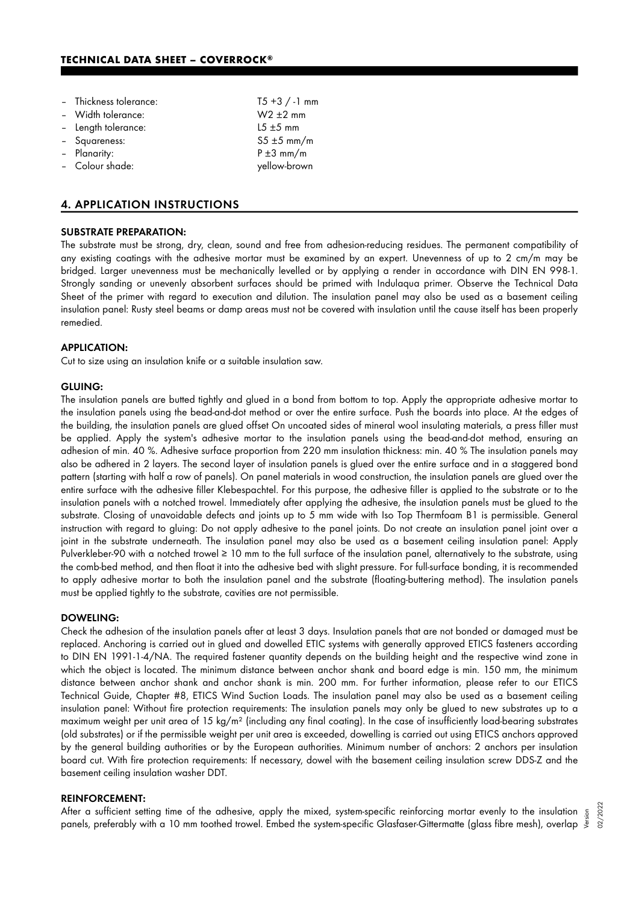## **TECHNICAL DATA SHEET – COVERROCK®**

| - Thickness tolerance: | $T5 + 3 / -1$ mm |
|------------------------|------------------|
| - Width tolerance:     | $W2 \pm 2$ mm    |
| - Length tolerance:    | $15 \pm 5$ mm    |
| - Squareness:          | $S5 \pm 5$ mm/m  |
| - Planarity:           | $P \pm 3$ mm/m   |
| - Colour shade:        | yellow-brown     |

## 4. APPLICATION INSTRUCTIONS

#### SUBSTRATE PREPARATION:

The substrate must be strong, dry, clean, sound and free from adhesion-reducing residues. The permanent compatibility of any existing coatings with the adhesive mortar must be examined by an expert. Unevenness of up to 2 cm/m may be bridged. Larger unevenness must be mechanically levelled or by applying a render in accordance with DIN EN 998-1. Strongly sanding or unevenly absorbent surfaces should be primed with Indulaqua primer. Observe the Technical Data Sheet of the primer with regard to execution and dilution. The insulation panel may also be used as a basement ceiling insulation panel: Rusty steel beams or damp areas must not be covered with insulation until the cause itself has been properly remedied.

## APPLICATION:

Cut to size using an insulation knife or a suitable insulation saw.

#### GLUING:

The insulation panels are butted tightly and glued in a bond from bottom to top. Apply the appropriate adhesive mortar to the insulation panels using the bead-and-dot method or over the entire surface. Push the boards into place. At the edges of the building, the insulation panels are glued offset On uncoated sides of mineral wool insulating materials, a press filler must be applied. Apply the system's adhesive mortar to the insulation panels using the bead-and-dot method, ensuring an adhesion of min. 40 %. Adhesive surface proportion from 220 mm insulation thickness: min. 40 % The insulation panels may also be adhered in 2 layers. The second layer of insulation panels is glued over the entire surface and in a staggered bond pattern (starting with half a row of panels). On panel materials in wood construction, the insulation panels are glued over the entire surface with the adhesive filler Klebespachtel. For this purpose, the adhesive filler is applied to the substrate or to the insulation panels with a notched trowel. Immediately after applying the adhesive, the insulation panels must be glued to the substrate. Closing of unavoidable defects and joints up to 5 mm wide with Iso Top Thermfoam B1 is permissible. General instruction with regard to gluing: Do not apply adhesive to the panel joints. Do not create an insulation panel joint over a joint in the substrate underneath. The insulation panel may also be used as a basement ceiling insulation panel: Apply Pulverkleber-90 with a notched trowel ≥ 10 mm to the full surface of the insulation panel, alternatively to the substrate, using the comb-bed method, and then float it into the adhesive bed with slight pressure. For full-surface bonding, it is recommended to apply adhesive mortar to both the insulation panel and the substrate (floating-buttering method). The insulation panels must be applied tightly to the substrate, cavities are not permissible.

#### DOWELING:

Check the adhesion of the insulation panels after at least 3 days. Insulation panels that are not bonded or damaged must be replaced. Anchoring is carried out in glued and dowelled ETIC systems with generally approved ETICS fasteners according to DIN EN 1991-1-4/NA. The required fastener quantity depends on the building height and the respective wind zone in which the object is located. The minimum distance between anchor shank and board edge is min. 150 mm, the minimum distance between anchor shank and anchor shank is min. 200 mm. For further information, please refer to our ETICS Technical Guide, Chapter #8, ETICS Wind Suction Loads. The insulation panel may also be used as a basement ceiling insulation panel: Without fire protection requirements: The insulation panels may only be glued to new substrates up to a maximum weight per unit area of 15 kg/m² (including any final coating). In the case of insufficiently load-bearing substrates (old substrates) or if the permissible weight per unit area is exceeded, dowelling is carried out using ETICS anchors approved by the general building authorities or by the European authorities. Minimum number of anchors: 2 anchors per insulation board cut. With fire protection requirements: If necessary, dowel with the basement ceiling insulation screw DDS-Z and the basement ceiling insulation washer DDT.

#### REINFORCEMENT:

After a sufficient setting time of the adhesive, apply the mixed, system-specific reinforcing mortar evenly to the insulation After a sufficient setting time of the adhesive, apply the mixed, system-specific reinforcing mortar evenly to the insulation  $\frac{5}{5}$ <br>"Lannels, preferably with a 10 mm toothed trowel. Embed the system-specific Glasfaser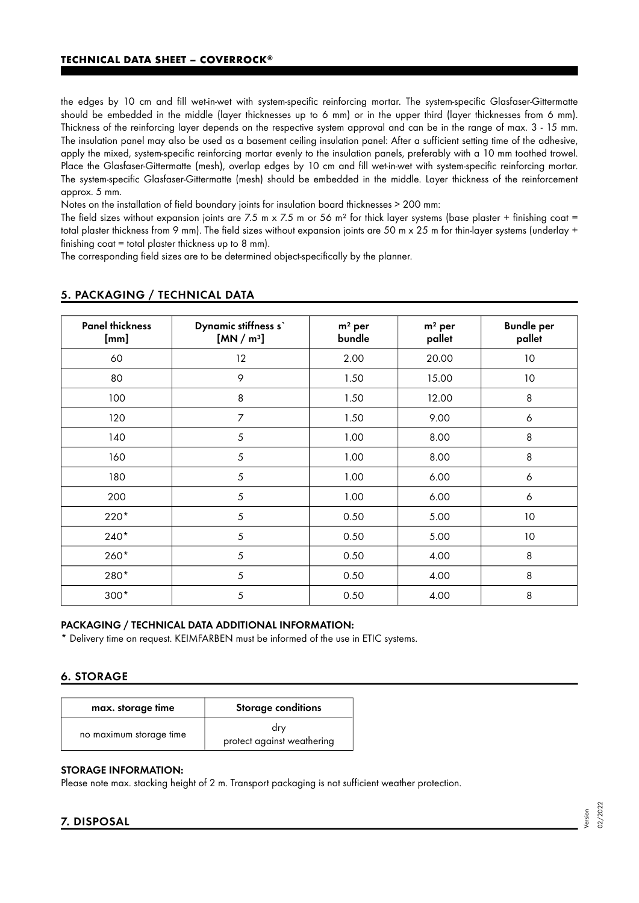the edges by 10 cm and fill wet-in-wet with system-specific reinforcing mortar. The system-specific Glasfaser-Gittermatte should be embedded in the middle (layer thicknesses up to 6 mm) or in the upper third (layer thicknesses from 6 mm). Thickness of the reinforcing layer depends on the respective system approval and can be in the range of max. 3 - 15 mm. The insulation panel may also be used as a basement ceiling insulation panel: After a sufficient setting time of the adhesive, apply the mixed, system-specific reinforcing mortar evenly to the insulation panels, preferably with a 10 mm toothed trowel. Place the Glasfaser-Gittermatte (mesh), overlap edges by 10 cm and fill wet-in-wet with system-specific reinforcing mortar. The system-specific Glasfaser-Gittermatte (mesh) should be embedded in the middle. Layer thickness of the reinforcement approx. 5 mm.

Notes on the installation of field boundary joints for insulation board thicknesses > 200 mm:

The field sizes without expansion joints are 7.5 m x 7.5 m or 56 m<sup>2</sup> for thick layer systems (base plaster + finishing coat = total plaster thickness from 9 mm). The field sizes without expansion joints are 50 m x 25 m for thin-layer systems (underlay + finishing coat = total plaster thickness up to 8 mm).

The corresponding field sizes are to be determined object-specifically by the planner.

| <b>Panel thickness</b><br>[mm] | Dynamic stiffness s'<br>[MN/m <sup>3</sup> ] | $m2$ per<br>bundle | $m2$ per<br>pallet | <b>Bundle per</b><br>pallet |
|--------------------------------|----------------------------------------------|--------------------|--------------------|-----------------------------|
| 60                             | 12                                           | 2.00               | 20.00              | 10                          |
| 80                             | 9                                            | 1.50               | 15.00              | 10                          |
| 100                            | 8                                            | 1.50               | 12.00              | 8                           |
| 120                            | $\overline{7}$                               | 1.50               | 9.00               | $\boldsymbol{6}$            |
| 140                            | 5                                            | 1.00               | 8.00               | 8                           |
| 160                            | 5                                            | 1.00               | 8.00               | 8                           |
| 180                            | 5                                            | 1.00               | 6.00               | $\boldsymbol{6}$            |
| 200                            | 5                                            | 1.00               | 6.00               | $\boldsymbol{6}$            |
| 220*                           | 5                                            | 0.50               | 5.00               | $10$                        |
| $240*$                         | 5                                            | 0.50               | 5.00               | 10                          |
| 260*                           | 5                                            | 0.50               | 4.00               | 8                           |
| 280*                           | 5                                            | 0.50               | 4.00               | 8                           |
| $300*$                         | 5                                            | 0.50               | 4.00               | 8                           |

## 5. PACKAGING / TECHNICAL DATA

#### PACKAGING / TECHNICAL DATA ADDITIONAL INFORMATION:

\* Delivery time on request. KEIMFARBEN must be informed of the use in ETIC systems.

## 6. STORAGE

| max. storage time       | Storage conditions                |  |  |
|-------------------------|-----------------------------------|--|--|
| no maximum storage time | drv<br>protect against weathering |  |  |

## STORAGE INFORMATION:

Please note max. stacking height of 2 m. Transport packaging is not sufficient weather protection.

## 7. DISPOSAL

Version